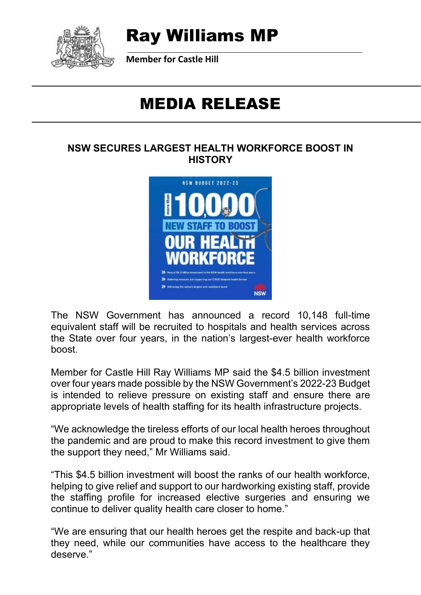

# Ray Williams MP

**Member for Castle Hill**

# MEDIA RELEASE

#### **NSW SECURES LARGEST HEALTH WORKFORCE BOOST IN HISTORY**



The NSW Government has announced a record 10,148 full-time equivalent staff will be recruited to hospitals and health services across the State over four years, in the nation's largest-ever health workforce boost.

Member for Castle Hill Ray Williams MP said the \$4.5 billion investment over four years made possible by the NSW Government's 2022-23 Budget is intended to relieve pressure on existing staff and ensure there are appropriate levels of health staffing for its health infrastructure projects.

"We acknowledge the tireless efforts of our local health heroes throughout the pandemic and are proud to make this record investment to give them the support they need," Mr Williams said.

"This \$4.5 billion investment will boost the ranks of our health workforce, helping to give relief and support to our hardworking existing staff, provide the staffing profile for increased elective surgeries and ensuring we continue to deliver quality health care closer to home."

"We are ensuring that our health heroes get the respite and back-up that they need, while our communities have access to the healthcare they deserve."